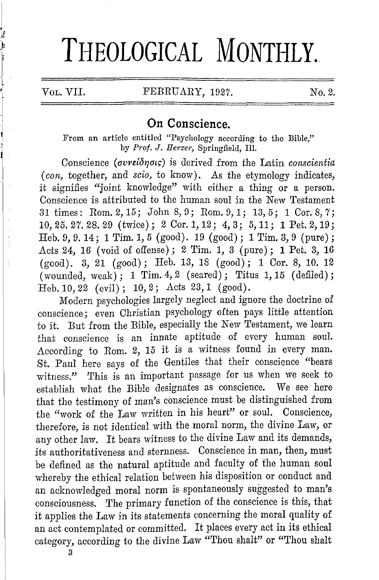# THEOLOGICAL MONTHLY.

if

### VOL. VII. FEBRUARY, 1927. No. 2.

## **On Conscience.**

From an article entitled "Psychology according to the Bible," by *Prof.* J. *Herzer,* Springfield, Ill.

Conscience *(avvelb17ai~)* is derived from the Latin *conscientia (con,* together, and *scio,* to know). As the etymology indicates, it signifies "joint knowledge" with either a thing or a person. Conscience is attributed to the human soul in the New Testament 31 times: Rom. 2, 15; John 8, 9; Rom. 9, 1; 13, 5; 1 Cor. 8, 7; 10,25.27.28.29 (twice); 2 Cor.1,12; 4,3; 5,11; **1** Pet.2,19; Heb.9,9.14; lTim.1,5 (good). 19 (good); lTim.3,9 (pure); Acts 24, 16 (void of offense); 2 *Tim.* 1, 3 (pure); **1** Pet. 3, 16 (good). 3, 21 (good); Heb. 13, 18 (good); 1 Cor. 8, 10. 12  $(wounded, weak); 1 Tim. 4, 2 (seared); Titus 1, 15 (defined);$ Heb.10,22 (evil); 10,2; Acts 23,1 (good).

Modern psychologies largely neglect and ignore the doctrine of conscience; even Christian psychology often pays little attention to it. But from the Bible, especially the New Testament, we learn that conscience is an innate aptitude of every human soul. According to Rom. 2, 15 it is a witness found in every man. St. Paul here says of the Gentiles that their conscience "bears witness." This is an important passage for us when we seek to establish what the Bible designates as conscience. We see here that the testimony of man's conscience must be distinguished from the "work of the Law written in his heart" or soul. Conscience, therefore, is not identical with the moral norm, the divine Law, or any other law. It bears witness to the divine Law and its demands, its authoritativeness and sternness. Conscience in man, then, must be defined as the natural aptitude and faculty of the human soul whereby the ethical relation between his disposition or conduct and an acknowledged moral norm is spontaneously suggested to man's consciousness. The primary function of the conscience is this, that it applies the Law in its statements concerning the moral quality of an act contemplated or committed. It places every act in its ethical category, according to the divine Law "Thou shalt" or "Thou shalt

3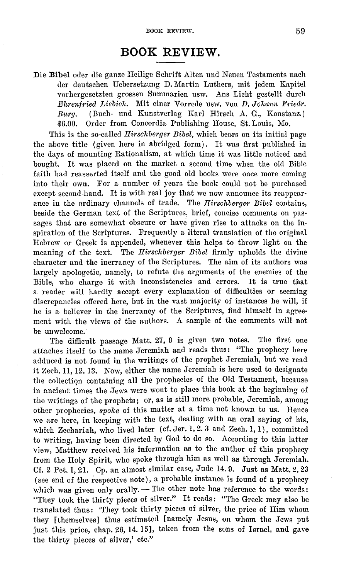# **BOOK REVIEW.**

Die Bibel oder die ganze Heilige Schrift Alten und Neuen Testaments nach der deutschen Uebersetzung D. Martin Luthers, mit jedem Kapitel vorhergesetzten grossen Summarien usw. Ans Licht gestellt durch *Ehrenfried Liebich.* Mit einer Vorrede usw. von *D. Johann Friedr. Burg.* (Buch- und Kunstverlag Karl Hirsch A. G., Konstanz.) \$6.00. Order from Concordia Publishing House, St. Louis, Mo.

This is the so-called *Ilirsohberger Bibel,* which bears on its initial page the above title (given here in abridged form). It was first published in the days of mounting Rationalism, at which time it was little noticed and bought. It was placed on the market a second time when the old Bible faith had reasserted itself and the good old books were once more coming into their own. For a number of years the book could not be purchased except second-hand. It is with real joy that we now announce its reappearance in the ordinary channels of trade. The *Ilirsohberger Bibel* contains, beside the German text of the Scriptures, brief, concise comments on passages that are somewhat obscure or have given rise to attacks on the inspiration of the Scriptures. Frequently a literal translation of the original Hebrew or Greek is appended, whenever this helps to throw light on the meaning of the text. The *Ilirsohberger Bibel* firmly upholds the divine character and the inerrancy of the Scriptures. The aim of its authors was largely apologetic, namely, to refute the arguments of the enemies of the Bible, who charge it with inconsistencies and errors. It is true that a reader will hardly accept every explanation of difficulties or seeming discrepancies offered here, but in the vast majority of instances he will, if he is a believer in the inerrancy of the Scriptures, find himself in agreement with the views of the authors. A sample of the comments will not be unwelcome.

The difficult passage Matt. 27, 0 is given two notes. The first one attaches itself to the name Jeremiah and reads thus: "The prophecy here adduced is not found in the writings of the prophet Jeremiah, but we read it Zech. 11, 12. 13. Now, either the name Jeremiah is here used to designate the collectiqn containing all the prophecies of the Old Testament, because in ancient times the Jews were wont to place this book at the beginning of the writings of the prophets; or, as is still more probable, Jeremiah, among other prophecies, *spoke* of this matter at a time not known to us. Hence we are here, in keeping with the text, dealing with an oral saying of his, which Zechariah, who lived later (cf. Jer. 1, 2. 3 and Zech. 1, 1), committed to writing, having been directed by God to do so. According to this latter view, Matthew received his information as to the author of this prophecy from the Holy Spirit, who spoke through him as well as through Jeremiah. Cf. 2 Pet. 1, 21. Cp. an almost similar case, Jude 14. 0. Just as Matt. 2, 23 (see end of the respective note), a probable instance is found of a prophecy which was given only orally. - The other note has reference to the words: "They took the thirty pieces of silver." It reads: "The Greek may also be translated thus: 'They took thirty pieces of silver, the price of Him whom they [themselves] thus estimated [namely Jesus, on whom the Jews put just this price, chap. 26, 14. 15], taken from the sons of Israel, and gave the thirty pieces of silver,' etc."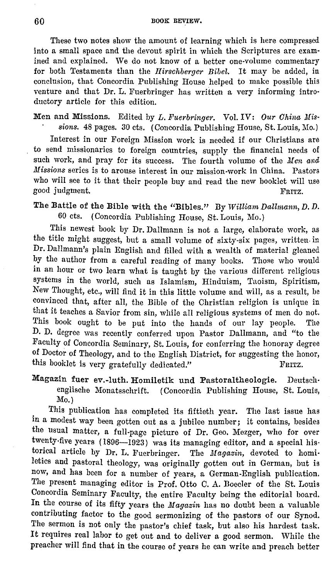These two notes show the amount of learning which is here compressed into a small space and the devout spirit in which the Scriptures are exam· ined and explained. We do not know of a better one-volume commentary for both Testaments than the *Hirsohberger Bibel.* It may be added, in conclusion, that Concordia Publishing House helped to make possible this venture and that Dr. L. Fuerbringer has written a very informing introductory article for this edition.

Men and Missions. Edited by *L. Fuerbringer.* Vol. IV: *Our Ohina Missions.* 48 pages. 30 cts. ( Concordia Publishing House, St. Louis, Mo.)

Interest in our Foreign Mission work is needed if our Christians are to send missionaries to foreign countries, supply the financial needs of such work, and pray for its success. The fourth volume of the *Men and Missions* series is to arouse interest in our mission-work in China. Pastors who will see to it that their people buy and read the new booklet will use good judgment. The contract of the set of the set of the set of the set of the set of the set of the set of the set of the set of the set of the set of the set of the set of the set of the set of the set of the set of the

The Battle of the Bible with the "Bibles." By *William DaUmann, D. D.*  60 cts. (Concordia Publishing House, St. Louis, Mo.)

This newest book by Dr. Dallmann is not a large, elaborate work, as the title might suggest, but a small volume of sixty-six pages, written. in Dr. Dallmann's plain English and filled with a wealth of material gleaned by the author from a careful reading of many books. Those who would in an hour or two learn what is taught by the various different religious systems in the world, such as Islamism, Hinduism, Taoism, Spiritism, New Thought, etc., will find it in this little volume and will, as a result, be eonvinccd that, after all, the Bible of the Christian religion is unique in that it teaches a Savior from sin, while all religious systems of men do not. This book ought to be put into the hands of our lay people. The D. D. degree was recently conferred upon Pastor Dallmann, and "to the Faculty of Concordia Seminary, St. Louis, for conferring the honoray degree of Doctor of Theology, and to the English District, for suggesting the honor, this booklet is very gratefully dedicated." FRITZ.

Magazin fuer ev.-luth. Homiletik und Pastoraltheologie. Deutsch• englische Monatsschrift. (Concordia Publishing House, St. Louis, Mo.)

This publication has completed its fiftieth year. The last issue has in a modest way been gotten out as a jubilee number; it contains, besides the usual matter, a full-page picture of Dr. Geo. Mezger, who for over twenty-five years (1896-1923) was its managing editor, and a special historical article by Dr. L. Fuerbringer. The Magazin, devoted to homiletics and pastoral theology, was originally gotten out in German, but is now, and has been for a number of years, a German-English publication. The present managing editor is Prof. Otto C. A. Boecler of the St. Louis Concordia Seminary Faculty, the entire Faculty being the editorial board. In the course of its fifty years the Magazin has no doubt been a valuable contributing factor to the good sermonizing of the pastors of our Synod. The sermon is not only the pastor's chief task, but also his hardest task. It requires real labor to get out and to deliver a good sermon. While the preacher will find that in the course of years he can write and preach better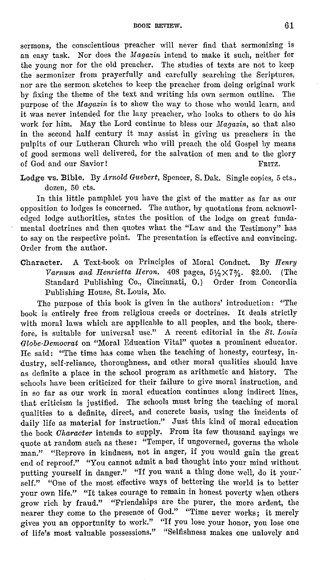sermons, the conscientious preacher will never find that sermonizing is an easy task. Nor does the *Magazin* intend to make it such, neither for the young nor for the old preacher. The studies of texts are not to keep the sermonizer from prayerfully and carefully searching the Scriptures, nor are the sermon sketches to keep the preacher from doing original work by fixing the theme of the text and writing his own sermon outline. The purpose of the *Magazin* is to show the way to those who would learn, and it was never intended for the lazy preacher, who looks to others to do his work for him. May the Lord continue to bless our  $Magazin$ , so that also in the second half century it may assist in giving us preachers in the pulpits of our Lutheran Church who will preach the old Gospel by means of good sermons well delivered, for the salvation of men and to the glory of God and our Savior! FRITZ.

Lodge vs. **Bible.** Dy *Arnold Guebert,* Spencer, S. Dak. Single copies, 5 cts., dozen, 50 cts.

In this little pamphlet you have the gist of the matter as far as our opposition to lodges is concerned. The author, by quotations from acknowledged lodge authorities, states the position of the lodge on great fundamental doctrines and then quotes what the "Law and the Testimony" has to say on the respective point. The presentation is effective and convincing. Order from the author.

Character. A Text-book on Principles of Moral Conduct. By *Henry Varnum and Henrietta Heron.*  $408$  pages,  $5\frac{1}{2} \times 7\frac{3}{4}$ . \$2.00. (The Standard Publishing Co., Cincinnati, 0.) Order from Concordia Publishing House, St. Louis, Mo.

The purpose of this hook is given in the authors' introduction: "The book is entirely free from religious creeds or doctrines. It deals strictly with moral laws which are applicable to all peoples, and the book, therefore, is suitable for universal use." A recent editorial in the *St. Louis (}lobe-Democrat* on "Moral Education Vital" quotes a prominent educator. He said: "The time has come when the teaching of honesty, courtesy, industry, self-reliance, thoroughness, and other moral qualities should have as definite a place in the school program as arithmetic and history. The schools have been criticized for their failure to give moral instruction, and in so far as our work in moral education continues along indirect lines, that criticism is justified. The schools must bring the teaching of moral qualities to a definite, direct, and concrete basis, using the incidents of daily life as material for instruction." Just this kind of moral education the book *Character* intends to supply. From its few thousand savings we quote at random such as these: "Temper, if ungoverned, governs the whole man." "Reprove in kindness, not **in** anger, if you would gain the great end of reproof." "You cannot admit a bad thought into your mind without putting yourself in danger." "If you want a thing done well, do it yourself." "One of the most effective ways of bettering the world is to better your own life." "It takes courage to remain in honest poverty when others grow rich by fraud." "Friendships are the purer, the more ardent, the nearer they come to the presence of God." "Time never works; it merely gives you an opportunity to work." "If you lose your honor, you lose one of life's most valuable possessions." "Selfishness makes one unlovely and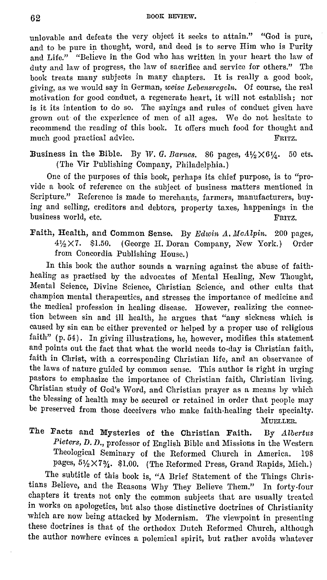unlovable and defeats the very object it seeks to attain." "God is pure, and to be pure in thought, word, and deed is to serve Him who is Purity and Life." "Believe in the God who has written in your heart the law of duty and law of progress, the law of sacrifice and service for others." The book treats many subjects in many chapters. It is really a good book, giving, as we would say in German, *weise Lebensregeln.* Of course, the real motivation for good conduct, a regenerate heart, it will not establish; nor is it its intention to do so. The sayings and rules of conduct given have grown out of the experience of men of all ages. We do not hesitate to recommend the reading of this book. It offers much food for thought and much good practical advice. FRITZ. much good practical advice.

Business in the Bible. By W. *G. Barnes.* 86 pages,  $4\frac{1}{2}\times6\frac{1}{4}$ . 50 cts. ( The Vir Publishing Company, Philadelphia.)

One of the purposes of this book, perhaps its chief purpose, is to "provide a book of reference on the subject of business matters mentioned in Scripture." Reference is made to merchants, farmers, manufacturers, buying and selling, creditors and debtors, property taxes, happenings in the business world, etc.

Faith, Health, and Common Sense. By *Edwin A. McAlpin.* 200 pages, 4½X7, \$1.50. (George II. Doran Company, New York.) Order from Concordia Publishing House.)

In this book the author sounds a warning against the abuse of faithhealing as practised by the advocates of Mental Healing, New Thought, Mental Science, Divine Science, Christian Science, and other cults that champion mental therapeutics, and stresses the importance of medicine and the medical profession in healing disease. However, realizing the connection between sin and ill health, he argues that "any sickness which is caused by sin can be either prevented or helped by a proper use of religious faith" (p. 54). In giving illustrations, he, however, modifies this statement and points out the fact that what the world needs to-day is Christian faith, faith in Christ, with a corresponding Christian life, and an observance of the laws of nature guided by common sense. This author is right in urging pastors to emphasize the importance of Christian faith, Christian living, Christian study of God's Word, and Christian prayer as a means by which the blessing of health may be secured or retained in order that people may be preserved from those deceivers who make faith-healing their specialty.

MUELLER.

The Facts and Mysteries of the Christian Faith. By *Albertus Pieters, D. D.,* professor of English Bible and Missions in the Western Theological Seminary of the Reformed Church in America. 198 pages,  $5\frac{1}{2} \times 7\frac{3}{4}$ . \$1.00. (The Reformed Press, Grand Rapids, Mich.)

The subtitle of this book is, "A Brief Statement of the Things Christians Believe, and the Reasons Why They Believe Them." In forty-four chapters it treats not only the common subjects that are usually treated in works on apologetics, but also those distinctive doctrines of Christianity which are now being attacked by Modernism. The viewpoint in presenting these doctrines is that of the orthodox Dutch Reformed Church, although the author nowhere evinces a polemical spirit, but rather avoids whatever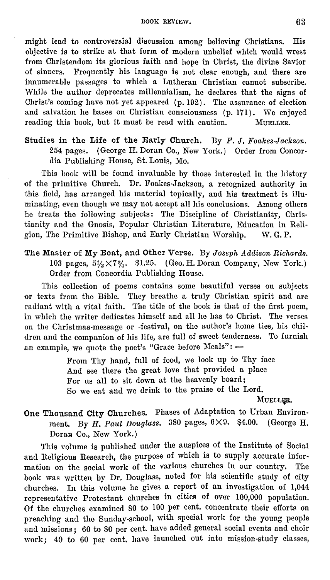BOOK REVIEW. 63

might lead to controversial discussion among believing Christians. His objective is to strike at that form of modern unbelief which would wrest from Christendom its glorious faith and hope in Christ, the divine Savior of sinners. Frequently his language is not clear enough, and there are innumerable passages to which a Lutheran Christian cannot subscribe. While the author deprecates millennialism, he declares that the signs of Christ's coming have not yet appeared (p. 102). The assurance of election and salvation he bases on Christian consciousness (p. 171), We enjoyed reading this book, but it must be read with caution. MUELLER.

Studies in the Life of the Early Church. By *F. J. Foakes-Jackson.* 254 pages. (George H. Doran Co., New York.) Order from Concordia Publishing House, St. Louis, Mo.

This book will be found invaluable by those interested in the history of the primitive Church. Dr. Foakes-Jackson, a recognized authority in this field, has arranged his material topically, and his treatment is illuminating, even though we may not accept all his conclusions. Among others he treats the following subjects: The Discipline of Christianity, Christianity and the Gnosis, Popular Christian Literature, Education in Religion, The Primitive Bishop, and Early Christian Worship. W. G. P.

The Master of My Boat, and Other Verse. By *Joseph Addison Richards.*  103 pages,  $5\frac{1}{2}\times7\frac{3}{4}$ . \$1.25. (Geo. H. Doran Company, New York.) Order from Concordia Publishing House.

This collection of poems contains some beautiful verses on subjects or texts from the Bible. They breathe a truly Christian spirit and are radiant with a vital faith. The title of the book is that of the first poem, in which the writer dedicates himself and all he has to Christ. The verses on the Christmas-message or -festival, on the author's home ties, his children and the companion of his life, are full of sweet tenderness. To furnish an example, we quote the poet's "Grace before Meals": -

> From Thy hand, full of food, we look up to Thy face And see there the great love that provided a place For us all to sit down at the heavenly board; So we eat and we drink to the praise of the Lord.

> > MUELLER.

## One Thousand City Churches. Phases of Adaptation to Urban Environ• ment. By *H. Paul Douglass.* 380 pages, 6X9. \$4.00. (George H. Doran Co., New York.)

This volume is published under the auspices of the Institute of Social and Religious Research, the purpose of which is to supply accurate information on the social work of the various churches in our country. The book was written by Dr. Douglass, noted for his scientific study of city churches. In this volume he gives a report of an investigation of 1,044 representative Protestant churches in cities of over 100,000 population. Of the churches examined 80 to 100 per cent. concentrate their efforts on preaching and the Sunday-school, with special work for the young people and missions; 60 to 80 per cent. have added general social events and choir work; 40 to 60 per cent. have launched out into mission-study classes,